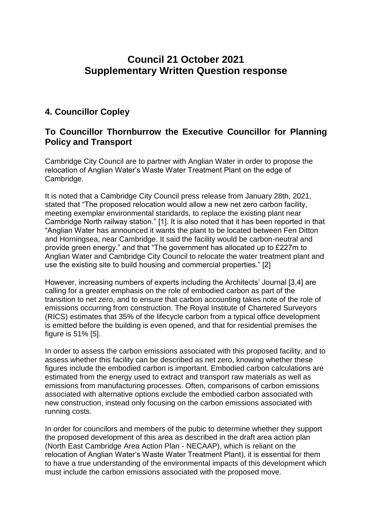# **Council 21 October 2021 Supplementary Written Question response**

## **4. Councillor Copley**

### **To Councillor Thornburrow the Executive Councillor for Planning Policy and Transport**

Cambridge City Council are to partner with Anglian Water in order to propose the relocation of Anglian Water's Waste Water Treatment Plant on the edge of Cambridge.

It is noted that a Cambridge City Council press release from January 28th, 2021, stated that "The proposed relocation would allow a new net zero carbon facility, meeting exemplar environmental standards, to replace the existing plant near Cambridge North railway station." [1]. It is also noted that it has been reported in that "Anglian Water has announced it wants the plant to be located between Fen Ditton and Horningsea, near Cambridge. It said the facility would be carbon-neutral and provide green energy." and that "The government has allocated up to £227m to Anglian Water and Cambridge City Council to relocate the water treatment plant and use the existing site to build housing and commercial properties." [2]

However, increasing numbers of experts including the Architects' Journal [3,4] are calling for a greater emphasis on the role of embodied carbon as part of the transition to net zero, and to ensure that carbon accounting takes note of the role of emissions occurring from construction. The Royal Institute of Chartered Surveyors (RICS) estimates that 35% of the lifecycle carbon from a typical office development is emitted before the building is even opened, and that for residential premises the figure is 51% [5].

In order to assess the carbon emissions associated with this proposed facility, and to assess whether this facility can be described as net zero, knowing whether these figures include the embodied carbon is important. Embodied carbon calculations are estimated from the energy used to extract and transport raw materials as well as emissions from manufacturing processes. Often, comparisons of carbon emissions associated with alternative options exclude the embodied carbon associated with new construction, instead only focusing on the carbon emissions associated with running costs.

In order for councilors and members of the pubic to determine whether they support the proposed development of this area as described in the draft area action plan (North East Cambridge Area Action Plan - NECAAP), which is reliant on the relocation of Anglian Water's Waste Water Treatment Plant), it is essential for them to have a true understanding of the environmental impacts of this development which must include the carbon emissions associated with the proposed move.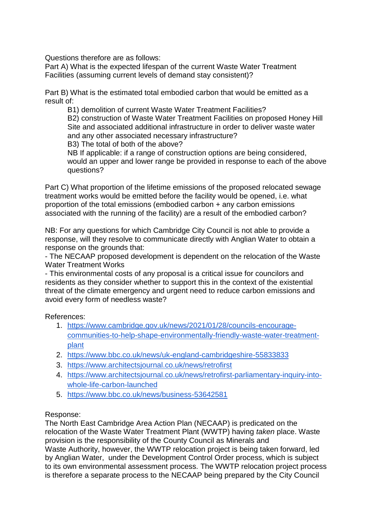Questions therefore are as follows:

Part A) What is the expected lifespan of the current Waste Water Treatment Facilities (assuming current levels of demand stay consistent)?

Part B) What is the estimated total embodied carbon that would be emitted as a result of:

B1) demolition of current Waste Water Treatment Facilities? B2) construction of Waste Water Treatment Facilities on proposed Honey Hill Site and associated additional infrastructure in order to deliver waste water and any other associated necessary infrastructure?

B3) The total of both of the above?

NB If applicable: if a range of construction options are being considered, would an upper and lower range be provided in response to each of the above questions?

Part C) What proportion of the lifetime emissions of the proposed relocated sewage treatment works would be emitted before the facility would be opened, i.e. what proportion of the total emissions (embodied carbon + any carbon emissions associated with the running of the facility) are a result of the embodied carbon?

NB: For any questions for which Cambridge City Council is not able to provide a response, will they resolve to communicate directly with Anglian Water to obtain a response on the grounds that:

- The NECAAP proposed development is dependent on the relocation of the Waste Water Treatment Works

- This environmental costs of any proposal is a critical issue for councilors and residents as they consider whether to support this in the context of the existential threat of the climate emergency and urgent need to reduce carbon emissions and avoid every form of needless waste?

### References:

- 1. [https://www.cambridge.gov.uk/news/2021/01/28/councils-encourage](https://www.cambridge.gov.uk/news/2021/01/28/councils-encourage-communities-to-help-shape-environmentally-friendly-waste-water-treatment-plant)[communities-to-help-shape-environmentally-friendly-waste-water-treatment](https://www.cambridge.gov.uk/news/2021/01/28/councils-encourage-communities-to-help-shape-environmentally-friendly-waste-water-treatment-plant)[plant](https://www.cambridge.gov.uk/news/2021/01/28/councils-encourage-communities-to-help-shape-environmentally-friendly-waste-water-treatment-plant)
- 2. <https://www.bbc.co.uk/news/uk-england-cambridgeshire-55833833>
- 3. <https://www.architectsjournal.co.uk/news/retrofirst>
- 4. [https://www.architectsjournal.co.uk/news/retrofirst-parliamentary-inquiry-into](https://www.architectsjournal.co.uk/news/retrofirst-parliamentary-inquiry-into-whole-life-carbon-launched)[whole-life-carbon-launched](https://www.architectsjournal.co.uk/news/retrofirst-parliamentary-inquiry-into-whole-life-carbon-launched)
- 5. <https://www.bbc.co.uk/news/business-53642581>

### Response:

The North East Cambridge Area Action Plan (NECAAP) is predicated on the relocation of the Waste Water Treatment Plant (WWTP) having *taken* place. Waste provision is the responsibility of the County Council as Minerals and Waste Authority, however, the WWTP relocation project is being taken forward, led by Anglian Water, under the Development Control Order process, which is subject to its own environmental assessment process. The WWTP relocation project process is therefore a separate process to the NECAAP being prepared by the City Council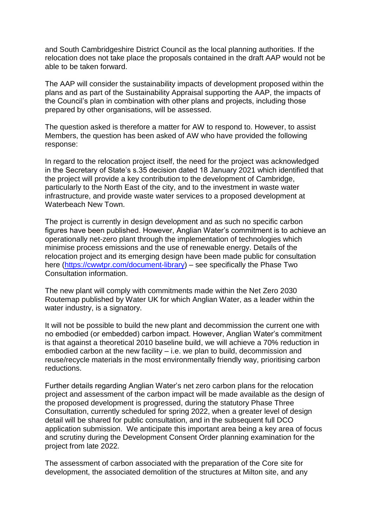and South Cambridgeshire District Council as the local planning authorities. If the relocation does not take place the proposals contained in the draft AAP would not be able to be taken forward.

The AAP will consider the sustainability impacts of development proposed within the plans and as part of the Sustainability Appraisal supporting the AAP, the impacts of the Council's plan in combination with other plans and projects, including those prepared by other organisations, will be assessed.

The question asked is therefore a matter for AW to respond to. However, to assist Members, the question has been asked of AW who have provided the following response:

In regard to the relocation project itself, the need for the project was acknowledged in the Secretary of State's s.35 decision dated 18 January 2021 which identified that the project will provide a key contribution to the development of Cambridge, particularly to the North East of the city, and to the investment in waste water infrastructure, and provide waste water services to a proposed development at Waterbeach New Town.

The project is currently in design development and as such no specific carbon figures have been published. However, Anglian Water's commitment is to achieve an operationally net-zero plant through the implementation of technologies which minimise process emissions and the use of renewable energy. Details of the relocation project and its emerging design have been made public for consultation here [\(https://cwwtpr.com/document-library\)](https://protect-eu.mimecast.com/s/YtSPCJ8GSKP0qMuVcE8R?domain=cwwtpr.com) – see specifically the Phase Two Consultation information.

The new plant will comply with commitments made within the Net Zero 2030 Routemap published by Water UK for which Anglian Water, as a leader within the water industry, is a signatory.

It will not be possible to build the new plant and decommission the current one with no embodied (or embedded) carbon impact. However, Anglian Water's commitment is that against a theoretical 2010 baseline build, we will achieve a 70% reduction in embodied carbon at the new facility – i.e. we plan to build, decommission and reuse/recycle materials in the most environmentally friendly way, prioritising carbon reductions.

Further details regarding Anglian Water's net zero carbon plans for the relocation project and assessment of the carbon impact will be made available as the design of the proposed development is progressed, during the statutory Phase Three Consultation, currently scheduled for spring 2022, when a greater level of design detail will be shared for public consultation, and in the subsequent full DCO application submission. We anticipate this important area being a key area of focus and scrutiny during the Development Consent Order planning examination for the project from late 2022*.* 

The assessment of carbon associated with the preparation of the Core site for development, the associated demolition of the structures at Milton site, and any